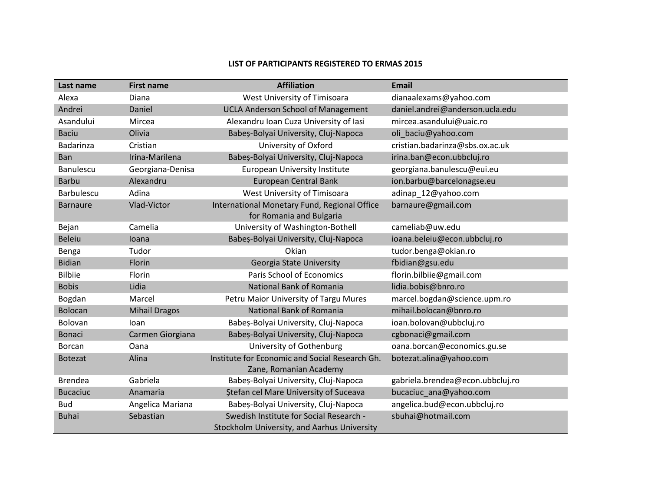## **LIST OF PARTICIPANTS REGISTERED TO ERMAS 2015**

| Last name         | <b>First name</b>    | <b>Affiliation</b>                                                       | <b>Email</b>                     |
|-------------------|----------------------|--------------------------------------------------------------------------|----------------------------------|
| Alexa             | Diana                | West University of Timisoara                                             | dianaalexams@yahoo.com           |
| Andrei            | Daniel               | <b>UCLA Anderson School of Management</b>                                | daniel.andrei@anderson.ucla.edu  |
| Asandului         | Mircea               | Alexandru Ioan Cuza University of Iasi                                   | mircea.asandului@uaic.ro         |
| <b>Baciu</b>      | Olivia               | Babeș-Bolyai University, Cluj-Napoca                                     | oli baciu@yahoo.com              |
| Badarinza         | Cristian             | University of Oxford                                                     | cristian.badarinza@sbs.ox.ac.uk  |
| <b>Ban</b>        | Irina-Marilena       | Babeș-Bolyai University, Cluj-Napoca                                     | irina.ban@econ.ubbcluj.ro        |
| Banulescu         | Georgiana-Denisa     | European University Institute                                            | georgiana.banulescu@eui.eu       |
| <b>Barbu</b>      | Alexandru            | <b>European Central Bank</b>                                             | ion.barbu@barcelonagse.eu        |
| <b>Barbulescu</b> | Adina                | West University of Timisoara                                             | adinap_12@yahoo.com              |
| <b>Barnaure</b>   | Vlad-Victor          | International Monetary Fund, Regional Office<br>for Romania and Bulgaria | barnaure@gmail.com               |
| Bejan             | Camelia              | University of Washington-Bothell                                         | cameliab@uw.edu                  |
| <b>Beleiu</b>     | loana                | Babeș-Bolyai University, Cluj-Napoca                                     | ioana.beleiu@econ.ubbcluj.ro     |
| Benga             | Tudor                | Okian                                                                    | tudor.benga@okian.ro             |
| <b>Bidian</b>     | Florin               | Georgia State University                                                 | fbidian@gsu.edu                  |
| <b>Bilbiie</b>    | Florin               | Paris School of Economics                                                | florin.bilbiie@gmail.com         |
| <b>Bobis</b>      | Lidia                | National Bank of Romania                                                 | lidia.bobis@bnro.ro              |
| Bogdan            | Marcel               | Petru Maior University of Targu Mures                                    | marcel.bogdan@science.upm.ro     |
| <b>Bolocan</b>    | <b>Mihail Dragos</b> | National Bank of Romania                                                 | mihail.bolocan@bnro.ro           |
| Bolovan           | loan                 | Babeș-Bolyai University, Cluj-Napoca                                     | ioan.bolovan@ubbcluj.ro          |
| <b>Bonaci</b>     | Carmen Giorgiana     | Babeș-Bolyai University, Cluj-Napoca                                     | cgbonaci@gmail.com               |
| Borcan            | Oana                 | University of Gothenburg                                                 | oana.borcan@economics.gu.se      |
| <b>Botezat</b>    | Alina                | Institute for Economic and Social Research Gh.                           | botezat.alina@yahoo.com          |
|                   |                      | Zane, Romanian Academy                                                   |                                  |
| <b>Brendea</b>    | Gabriela             | Babeș-Bolyai University, Cluj-Napoca                                     | gabriela.brendea@econ.ubbcluj.ro |
| <b>Bucaciuc</b>   | Anamaria             | <b>Stefan cel Mare University of Suceava</b>                             | bucaciuc_ana@yahoo.com           |
| <b>Bud</b>        | Angelica Mariana     | Babeș-Bolyai University, Cluj-Napoca                                     | angelica.bud@econ.ubbcluj.ro     |
| <b>Buhai</b>      | Sebastian            | Swedish Institute for Social Research -                                  | sbuhai@hotmail.com               |
|                   |                      | Stockholm University, and Aarhus University                              |                                  |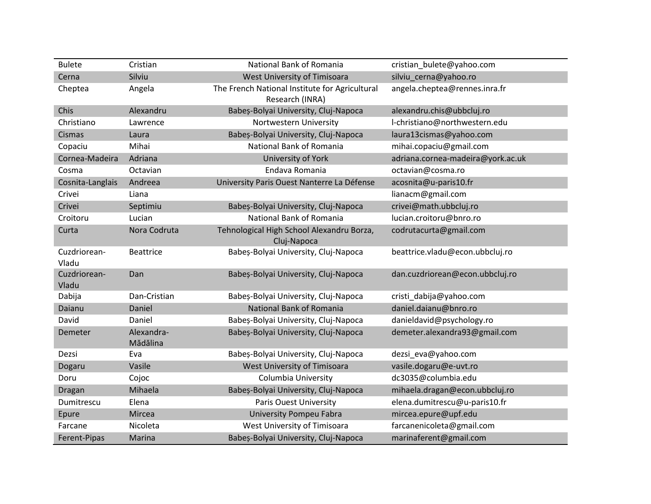| <b>Bulete</b>         | Cristian               | National Bank of Romania                                          | cristian_bulete@yahoo.com         |
|-----------------------|------------------------|-------------------------------------------------------------------|-----------------------------------|
| Cerna                 | Silviu                 | West University of Timisoara                                      | silviu_cerna@yahoo.ro             |
| Cheptea               | Angela                 | The French National Institute for Agricultural<br>Research (INRA) | angela.cheptea@rennes.inra.fr     |
| Chis                  | Alexandru              | Babeș-Bolyai University, Cluj-Napoca                              | alexandru.chis@ubbcluj.ro         |
| Christiano            | Lawrence               | Nortwestern University                                            | I-christiano@northwestern.edu     |
| <b>Cismas</b>         | Laura                  | Babeș-Bolyai University, Cluj-Napoca                              | laura13cismas@yahoo.com           |
| Copaciu               | Mihai                  | National Bank of Romania                                          | mihai.copaciu@gmail.com           |
| Cornea-Madeira        | Adriana                | University of York                                                | adriana.cornea-madeira@york.ac.uk |
| Cosma                 | Octavian               | Endava Romania                                                    | octavian@cosma.ro                 |
| Cosnita-Langlais      | Andreea                | University Paris Ouest Nanterre La Défense                        | acosnita@u-paris10.fr             |
| Crivei                | Liana                  |                                                                   | lianacm@gmail.com                 |
| Crivei                | Septimiu               | Babeș-Bolyai University, Cluj-Napoca                              | crivei@math.ubbcluj.ro            |
| Croitoru              | Lucian                 | National Bank of Romania                                          | lucian.croitoru@bnro.ro           |
| Curta                 | Nora Codruta           | Tehnological High School Alexandru Borza,<br>Cluj-Napoca          | codrutacurta@gmail.com            |
| Cuzdriorean-<br>Vladu | <b>Beattrice</b>       | Babeș-Bolyai University, Cluj-Napoca                              | beattrice.vladu@econ.ubbcluj.ro   |
| Cuzdriorean-<br>Vladu | Dan                    | Babeș-Bolyai University, Cluj-Napoca                              | dan.cuzdriorean@econ.ubbcluj.ro   |
| Dabija                | Dan-Cristian           | Babeș-Bolyai University, Cluj-Napoca                              | cristi_dabija@yahoo.com           |
| Daianu                | Daniel                 | <b>National Bank of Romania</b>                                   | daniel.daianu@bnro.ro             |
| David                 | Daniel                 | Babeș-Bolyai University, Cluj-Napoca                              | danieldavid@psychology.ro         |
| Demeter               | Alexandra-<br>Mădălina | Babeș-Bolyai University, Cluj-Napoca                              | demeter.alexandra93@gmail.com     |
| Dezsi                 | Eva                    | Babeș-Bolyai University, Cluj-Napoca                              | dezsi_eva@yahoo.com               |
| Dogaru                | Vasile                 | West University of Timisoara                                      | vasile.dogaru@e-uvt.ro            |
| Doru                  | Cojoc                  | Columbia University                                               | dc3035@columbia.edu               |
| Dragan                | Mihaela                | Babeș-Bolyai University, Cluj-Napoca                              | mihaela.dragan@econ.ubbcluj.ro    |
| Dumitrescu            | Elena                  | Paris Ouest University                                            | elena.dumitrescu@u-paris10.fr     |
| Epure                 | Mircea                 | <b>University Pompeu Fabra</b>                                    | mircea.epure@upf.edu              |
| Farcane               | Nicoleta               | West University of Timisoara                                      | farcanenicoleta@gmail.com         |
| Ferent-Pipas          | Marina                 | Babeș-Bolyai University, Cluj-Napoca                              | marinaferent@gmail.com            |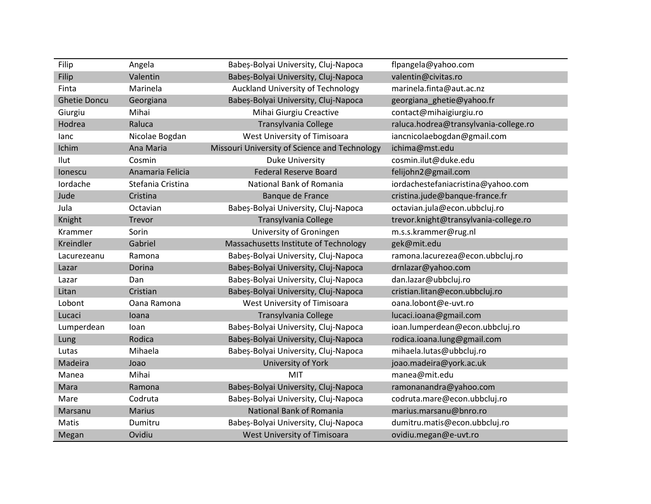| Filip               | Angela            | Babeș-Bolyai University, Cluj-Napoca          | flpangela@yahoo.com                   |
|---------------------|-------------------|-----------------------------------------------|---------------------------------------|
| Filip               | Valentin          | Babeș-Bolyai University, Cluj-Napoca          | valentin@civitas.ro                   |
| Finta               | Marinela          | Auckland University of Technology             | marinela.finta@aut.ac.nz              |
| <b>Ghetie Doncu</b> | Georgiana         | Babeș-Bolyai University, Cluj-Napoca          | georgiana_ghetie@yahoo.fr             |
| Giurgiu             | Mihai             | Mihai Giurgiu Creactive                       | contact@mihaigiurgiu.ro               |
| Hodrea              | Raluca            | Transylvania College                          | raluca.hodrea@transylvania-college.ro |
| lanc                | Nicolae Bogdan    | West University of Timisoara                  | iancnicolaebogdan@gmail.com           |
| Ichim               | Ana Maria         | Missouri University of Science and Technology | ichima@mst.edu                        |
| Ilut                | Cosmin            | <b>Duke University</b>                        | cosmin.ilut@duke.edu                  |
| lonescu             | Anamaria Felicia  | <b>Federal Reserve Board</b>                  | felijohn2@gmail.com                   |
| Iordache            | Stefania Cristina | National Bank of Romania                      | iordachestefaniacristina@yahoo.com    |
| Jude                | Cristina          | Banque de France                              | cristina.jude@banque-france.fr        |
| Jula                | Octavian          | Babeș-Bolyai University, Cluj-Napoca          | octavian.jula@econ.ubbcluj.ro         |
| Knight              | Trevor            | Transylvania College                          | trevor.knight@transylvania-college.ro |
| Krammer             | Sorin             | University of Groningen                       | m.s.s.krammer@rug.nl                  |
| Kreindler           | Gabriel           | Massachusetts Institute of Technology         | gek@mit.edu                           |
| Lacurezeanu         | Ramona            | Babeș-Bolyai University, Cluj-Napoca          | ramona.lacurezea@econ.ubbcluj.ro      |
| Lazar               | Dorina            | Babeș-Bolyai University, Cluj-Napoca          | drnlazar@yahoo.com                    |
| Lazar               | Dan               | Babeș-Bolyai University, Cluj-Napoca          | dan.lazar@ubbcluj.ro                  |
| Litan               | Cristian          | Babeș-Bolyai University, Cluj-Napoca          | cristian.litan@econ.ubbcluj.ro        |
| Lobont              | Oana Ramona       | West University of Timisoara                  | oana.lobont@e-uvt.ro                  |
| Lucaci              | Ioana             | Transylvania College                          | lucaci.ioana@gmail.com                |
| Lumperdean          | loan              | Babeș-Bolyai University, Cluj-Napoca          | ioan.lumperdean@econ.ubbcluj.ro       |
| Lung                | Rodica            | Babeș-Bolyai University, Cluj-Napoca          | rodica.ioana.lung@gmail.com           |
| Lutas               | Mihaela           | Babeș-Bolyai University, Cluj-Napoca          | mihaela.lutas@ubbcluj.ro              |
| Madeira             | Joao              | University of York                            | joao.madeira@york.ac.uk               |
| Manea               | Mihai             | MIT                                           | manea@mit.edu                         |
| Mara                | Ramona            | Babeș-Bolyai University, Cluj-Napoca          | ramonanandra@yahoo.com                |
| Mare                | Codruta           | Babeș-Bolyai University, Cluj-Napoca          | codruta.mare@econ.ubbcluj.ro          |
| Marsanu             | <b>Marius</b>     | National Bank of Romania                      | marius.marsanu@bnro.ro                |
| Matis               | Dumitru           | Babeș-Bolyai University, Cluj-Napoca          | dumitru.matis@econ.ubbcluj.ro         |
| Megan               | Ovidiu            | West University of Timisoara                  | ovidiu.megan@e-uvt.ro                 |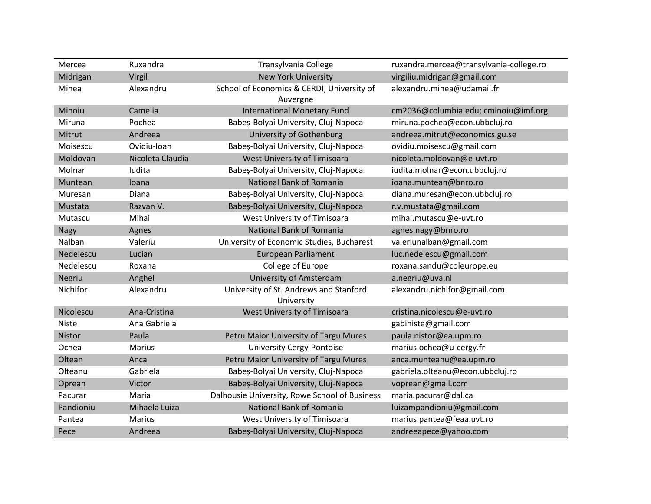| Mercea       | Ruxandra         | Transylvania College                                   | ruxandra.mercea@transylvania-college.ro |
|--------------|------------------|--------------------------------------------------------|-----------------------------------------|
| Midrigan     | Virgil           | <b>New York University</b>                             | virgiliu.midrigan@gmail.com             |
| Minea        | Alexandru        | School of Economics & CERDI, University of<br>Auvergne | alexandru.minea@udamail.fr              |
| Minoiu       | Camelia          | <b>International Monetary Fund</b>                     | cm2036@columbia.edu; cminoiu@imf.org    |
| Miruna       | Pochea           | Babeș-Bolyai University, Cluj-Napoca                   | miruna.pochea@econ.ubbcluj.ro           |
| Mitrut       | Andreea          | University of Gothenburg                               | andreea.mitrut@economics.gu.se          |
| Moisescu     | Ovidiu-Ioan      | Babeș-Bolyai University, Cluj-Napoca                   | ovidiu.moisescu@gmail.com               |
| Moldovan     | Nicoleta Claudia | West University of Timisoara                           | nicoleta.moldovan@e-uvt.ro              |
| Molnar       | Iudita           | Babeș-Bolyai University, Cluj-Napoca                   | iudita.molnar@econ.ubbcluj.ro           |
| Muntean      | Ioana            | <b>National Bank of Romania</b>                        | ioana.muntean@bnro.ro                   |
| Muresan      | Diana            | Babeș-Bolyai University, Cluj-Napoca                   | diana.muresan@econ.ubbcluj.ro           |
| Mustata      | Razvan V.        | Babeș-Bolyai University, Cluj-Napoca                   | r.v.mustata@gmail.com                   |
| Mutascu      | Mihai            | West University of Timisoara                           | mihai.mutascu@e-uvt.ro                  |
| <b>Nagy</b>  | Agnes            | National Bank of Romania                               | agnes.nagy@bnro.ro                      |
| Nalban       | Valeriu          | University of Economic Studies, Bucharest              | valeriunalban@gmail.com                 |
| Nedelescu    | Lucian           | <b>European Parliament</b>                             | luc.nedelescu@gmail.com                 |
| Nedelescu    | Roxana           | College of Europe                                      | roxana.sandu@coleurope.eu               |
| Negriu       | Anghel           | University of Amsterdam                                | a.negriu@uva.nl                         |
| Nichifor     | Alexandru        | University of St. Andrews and Stanford<br>University   | alexandru.nichifor@gmail.com            |
| Nicolescu    | Ana-Cristina     | West University of Timisoara                           | cristina.nicolescu@e-uvt.ro             |
| <b>Niste</b> | Ana Gabriela     |                                                        | gabiniste@gmail.com                     |
| Nistor       | Paula            | Petru Maior University of Targu Mures                  | paula.nistor@ea.upm.ro                  |
| Ochea        | <b>Marius</b>    | <b>University Cergy-Pontoise</b>                       | marius.ochea@u-cergy.fr                 |
| Oltean       | Anca             | Petru Maior University of Targu Mures                  | anca.munteanu@ea.upm.ro                 |
| Olteanu      | Gabriela         | Babeș-Bolyai University, Cluj-Napoca                   | gabriela.olteanu@econ.ubbcluj.ro        |
| Oprean       | Victor           | Babeș-Bolyai University, Cluj-Napoca                   | voprean@gmail.com                       |
| Pacurar      | Maria            | Dalhousie University, Rowe School of Business          | maria.pacurar@dal.ca                    |
| Pandioniu    | Mihaela Luiza    | National Bank of Romania                               | luizampandioniu@gmail.com               |
| Pantea       | <b>Marius</b>    | West University of Timisoara                           | marius.pantea@feaa.uvt.ro               |
| Pece         | Andreea          | Babeș-Bolyai University, Cluj-Napoca                   | andreeapece@yahoo.com                   |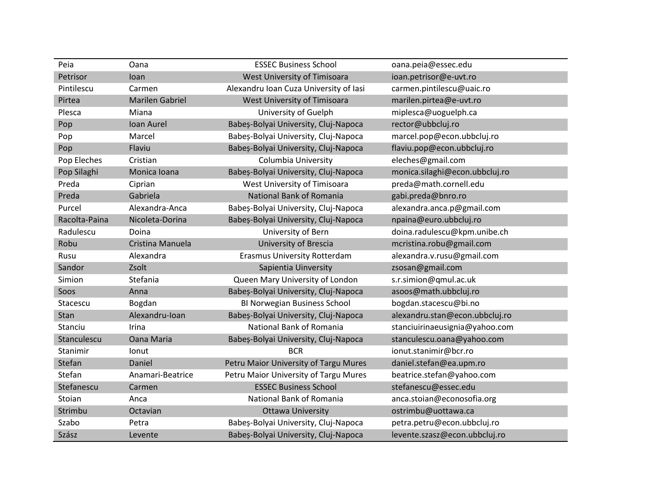| Peia          | Oana                   | <b>ESSEC Business School</b>           | oana.peia@essec.edu            |
|---------------|------------------------|----------------------------------------|--------------------------------|
| Petrisor      | Ioan                   | West University of Timisoara           | ioan.petrisor@e-uvt.ro         |
| Pintilescu    | Carmen                 | Alexandru Ioan Cuza University of Iasi | carmen.pintilescu@uaic.ro      |
| Pirtea        | <b>Marilen Gabriel</b> | West University of Timisoara           | marilen.pirtea@e-uvt.ro        |
| Plesca        | Miana                  | University of Guelph                   | miplesca@uoguelph.ca           |
| Pop           | Ioan Aurel             | Babeș-Bolyai University, Cluj-Napoca   | rector@ubbcluj.ro              |
| Pop           | Marcel                 | Babeș-Bolyai University, Cluj-Napoca   | marcel.pop@econ.ubbcluj.ro     |
| Pop           | Flaviu                 | Babeș-Bolyai University, Cluj-Napoca   | flaviu.pop@econ.ubbcluj.ro     |
| Pop Eleches   | Cristian               | <b>Columbia University</b>             | eleches@gmail.com              |
| Pop Silaghi   | Monica Ioana           | Babeș-Bolyai University, Cluj-Napoca   | monica.silaghi@econ.ubbcluj.ro |
| Preda         | Ciprian                | West University of Timisoara           | preda@math.cornell.edu         |
| Preda         | Gabriela               | <b>National Bank of Romania</b>        | gabi.preda@bnro.ro             |
| Purcel        | Alexandra-Anca         | Babeș-Bolyai University, Cluj-Napoca   | alexandra.anca.p@gmail.com     |
| Racolta-Paina | Nicoleta-Dorina        | Babeș-Bolyai University, Cluj-Napoca   | npaina@euro.ubbcluj.ro         |
| Radulescu     | Doina                  | University of Bern                     | doina.radulescu@kpm.unibe.ch   |
| Robu          | Cristina Manuela       | <b>University of Brescia</b>           | mcristina.robu@gmail.com       |
| Rusu          | Alexandra              | <b>Erasmus University Rotterdam</b>    | alexandra.v.rusu@gmail.com     |
| Sandor        | Zsolt                  | Sapientia Uinversity                   | zsosan@gmail.com               |
| Simion        | Stefania               | Queen Mary University of London        | s.r.simion@qmul.ac.uk          |
| Soos          | Anna                   | Babeș-Bolyai University, Cluj-Napoca   | asoos@math.ubbcluj.ro          |
| Stacescu      | Bogdan                 | <b>BI Norwegian Business School</b>    | bogdan.stacescu@bi.no          |
| Stan          | Alexandru-Ioan         | Babeș-Bolyai University, Cluj-Napoca   | alexandru.stan@econ.ubbcluj.ro |
| Stanciu       | Irina                  | National Bank of Romania               | stanciuirinaeusignia@yahoo.com |
| Stanculescu   | <b>Oana Maria</b>      | Babeș-Bolyai University, Cluj-Napoca   | stanculescu.oana@yahoo.com     |
| Stanimir      | Ionut                  | <b>BCR</b>                             | ionut.stanimir@bcr.ro          |
| Stefan        | Daniel                 | Petru Maior University of Targu Mures  | daniel.stefan@ea.upm.ro        |
| Stefan        | Anamari-Beatrice       | Petru Maior University of Targu Mures  | beatrice.stefan@yahoo.com      |
| Stefanescu    | Carmen                 | <b>ESSEC Business School</b>           | stefanescu@essec.edu           |
| Stoian        | Anca                   | National Bank of Romania               | anca.stoian@econosofia.org     |
| Strimbu       | Octavian               | <b>Ottawa University</b>               | ostrimbu@uottawa.ca            |
| Szabo         | Petra                  | Babeș-Bolyai University, Cluj-Napoca   | petra.petru@econ.ubbcluj.ro    |
| Szász         | Levente                | Babeș-Bolyai University, Cluj-Napoca   | levente.szasz@econ.ubbcluj.ro  |